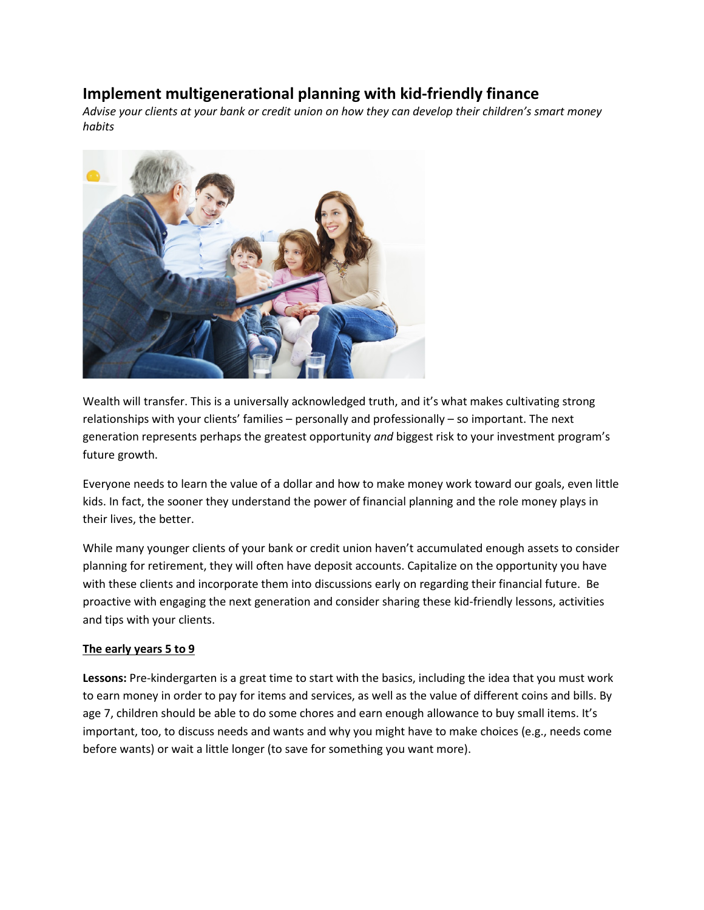# **Implement multigenerational planning with kid-friendly finance**

*Advise your clients at your bank or credit union on how they can develop their children's smart money habits*



Wealth will transfer. This is a universally acknowledged truth, and it's what makes cultivating strong relationships with your clients' families – personally and professionally – so important. The next generation represents perhaps the greatest opportunity *and* biggest risk to your investment program's future growth.

Everyone needs to learn the value of a dollar and how to make money work toward our goals, even little kids. In fact, the sooner they understand the power of financial planning and the role money plays in their lives, the better.

While many younger clients of your bank or credit union haven't accumulated enough assets to consider planning for retirement, they will often have deposit accounts. Capitalize on the opportunity you have with these clients and incorporate them into discussions early on regarding their financial future. Be proactive with engaging the next generation and consider sharing these kid-friendly lessons, activities and tips with your clients.

#### **The early years 5 to 9**

**Lessons:** Pre-kindergarten is a great time to start with the basics, including the idea that you must work to earn money in order to pay for items and services, as well as the value of different coins and bills. By age 7, children should be able to do some chores and earn enough allowance to buy small items. It's important, too, to discuss needs and wants and why you might have to make choices (e.g., needs come before wants) or wait a little longer (to save for something you want more).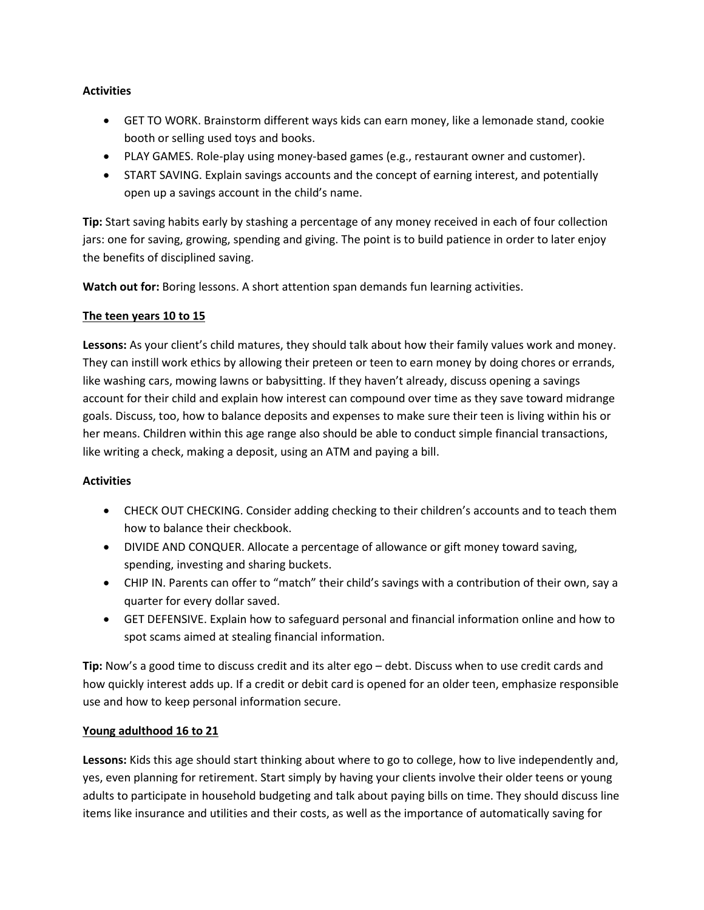#### **Activities**

- GET TO WORK. Brainstorm different ways kids can earn money, like a lemonade stand, cookie booth or selling used toys and books.
- PLAY GAMES. Role-play using money-based games (e.g., restaurant owner and customer).
- START SAVING. Explain savings accounts and the concept of earning interest, and potentially open up a savings account in the child's name.

**Tip:** Start saving habits early by stashing a percentage of any money received in each of four collection jars: one for saving, growing, spending and giving. The point is to build patience in order to later enjoy the benefits of disciplined saving.

**Watch out for:** Boring lessons. A short attention span demands fun learning activities.

## **The teen years 10 to 15**

**Lessons:** As your client's child matures, they should talk about how their family values work and money. They can instill work ethics by allowing their preteen or teen to earn money by doing chores or errands, like washing cars, mowing lawns or babysitting. If they haven't already, discuss opening a savings account for their child and explain how interest can compound over time as they save toward midrange goals. Discuss, too, how to balance deposits and expenses to make sure their teen is living within his or her means. Children within this age range also should be able to conduct simple financial transactions, like writing a check, making a deposit, using an ATM and paying a bill.

## **Activities**

- CHECK OUT CHECKING. Consider adding checking to their children's accounts and to teach them how to balance their checkbook.
- DIVIDE AND CONQUER. Allocate a percentage of allowance or gift money toward saving, spending, investing and sharing buckets.
- CHIP IN. Parents can offer to "match" their child's savings with a contribution of their own, say a quarter for every dollar saved.
- GET DEFENSIVE. Explain how to safeguard personal and financial information online and how to spot scams aimed at stealing financial information.

**Tip:** Now's a good time to discuss credit and its alter ego – debt. Discuss when to use credit cards and how quickly interest adds up. If a credit or debit card is opened for an older teen, emphasize responsible use and how to keep personal information secure.

#### **Young adulthood 16 to 21**

**Lessons:** Kids this age should start thinking about where to go to college, how to live independently and, yes, even planning for retirement. Start simply by having your clients involve their older teens or young adults to participate in household budgeting and talk about paying bills on time. They should discuss line items like insurance and utilities and their costs, as well as the importance of automatically saving for